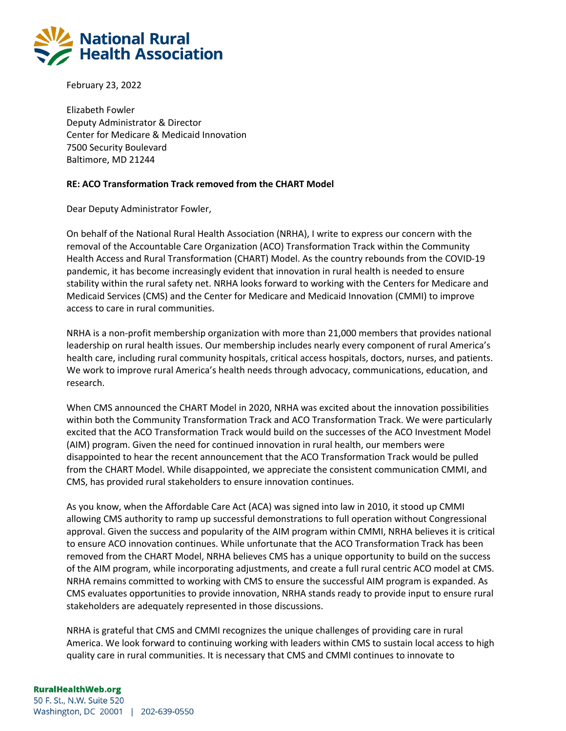

February 23, 2022

Elizabeth Fowler Deputy Administrator & Director Center for Medicare & Medicaid Innovation 7500 Security Boulevard Baltimore, MD 21244

## **RE: ACO Transformation Track removed from the CHART Model**

Dear Deputy Administrator Fowler,

On behalf of the National Rural Health Association (NRHA), I write to express our concern with the removal of the Accountable Care Organization (ACO) Transformation Track within the Community Health Access and Rural Transformation (CHART) Model. As the country rebounds from the COVID-19 pandemic, it has become increasingly evident that innovation in rural health is needed to ensure stability within the rural safety net. NRHA looks forward to working with the Centers for Medicare and Medicaid Services (CMS) and the Center for Medicare and Medicaid Innovation (CMMI) to improve access to care in rural communities.

NRHA is a non-profit membership organization with more than 21,000 members that provides national leadership on rural health issues. Our membership includes nearly every component of rural America's health care, including rural community hospitals, critical access hospitals, doctors, nurses, and patients. We work to improve rural America's health needs through advocacy, communications, education, and research.

When CMS announced the CHART Model in 2020, NRHA was excited about the innovation possibilities within both the Community Transformation Track and ACO Transformation Track. We were particularly excited that the ACO Transformation Track would build on the successes of the ACO Investment Model (AIM) program. Given the need for continued innovation in rural health, our members were disappointed to hear the recent announcement that the ACO Transformation Track would be pulled from the CHART Model. While disappointed, we appreciate the consistent communication CMMI, and CMS, has provided rural stakeholders to ensure innovation continues.

As you know, when the Affordable Care Act (ACA) was signed into law in 2010, it stood up CMMI allowing CMS authority to ramp up successful demonstrations to full operation without Congressional approval. Given the success and popularity of the AIM program within CMMI, NRHA believes it is critical to ensure ACO innovation continues. While unfortunate that the ACO Transformation Track has been removed from the CHART Model, NRHA believes CMS has a unique opportunity to build on the success of the AIM program, while incorporating adjustments, and create a full rural centric ACO model at CMS. NRHA remains committed to working with CMS to ensure the successful AIM program is expanded. As CMS evaluates opportunities to provide innovation, NRHA stands ready to provide input to ensure rural stakeholders are adequately represented in those discussions.

NRHA is grateful that CMS and CMMI recognizes the unique challenges of providing care in rural America. We look forward to continuing working with leaders within CMS to sustain local access to high quality care in rural communities. It is necessary that CMS and CMMI continues to innovate to

## **RuralHealthWeb.org**